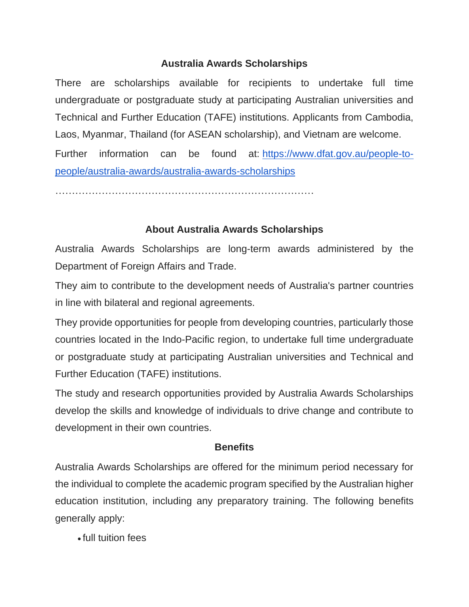## **Australia Awards Scholarships**

There are scholarships available for recipients to undertake full time undergraduate or postgraduate study at participating Australian universities and Technical and Further Education (TAFE) institutions. Applicants from Cambodia, Laos, Myanmar, Thailand (for ASEAN scholarship), and Vietnam are welcome.

Further information can be found at: [https://www.dfat.gov.au/people-to](https://www.dfat.gov.au/people-to-people/australia-awards/australia-awards-scholarships)[people/australia-awards/australia-awards-scholarships](https://www.dfat.gov.au/people-to-people/australia-awards/australia-awards-scholarships)

……………………………………………………………………

## **About Australia Awards Scholarships**

Australia Awards Scholarships are long-term awards administered by the Department of Foreign Affairs and Trade.

They aim to contribute to the development needs of Australia's partner countries in line with bilateral and regional agreements.

They provide opportunities for people from developing countries, particularly those countries located in the Indo-Pacific region, to undertake full time undergraduate or postgraduate study at participating Australian universities and Technical and Further Education (TAFE) institutions.

The study and research opportunities provided by Australia Awards Scholarships develop the skills and knowledge of individuals to drive change and contribute to development in their own countries.

## **Benefits**

Australia Awards Scholarships are offered for the minimum period necessary for the individual to complete the academic program specified by the Australian higher education institution, including any preparatory training. The following benefits generally apply:

• full tuition fees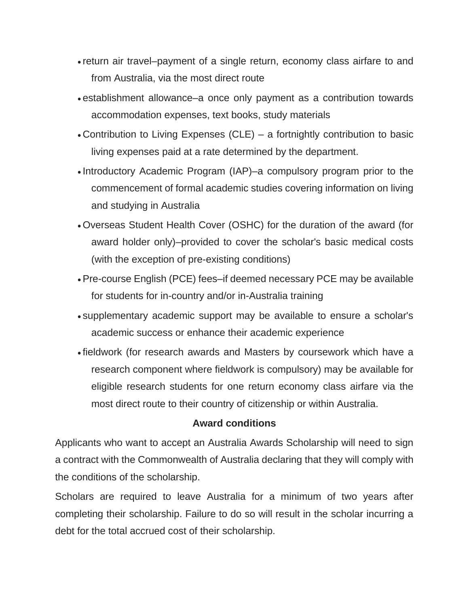- return air travel–payment of a single return, economy class airfare to and from Australia, via the most direct route
- establishment allowance–a once only payment as a contribution towards accommodation expenses, text books, study materials
- Contribution to Living Expenses (CLE) a fortnightly contribution to basic living expenses paid at a rate determined by the department.
- Introductory Academic Program (IAP)–a compulsory program prior to the commencement of formal academic studies covering information on living and studying in Australia
- Overseas Student Health Cover (OSHC) for the duration of the award (for award holder only)–provided to cover the scholar's basic medical costs (with the exception of pre-existing conditions)
- •Pre-course English (PCE) fees–if deemed necessary PCE may be available for students for in-country and/or in-Australia training
- supplementary academic support may be available to ensure a scholar's academic success or enhance their academic experience
- fieldwork (for research awards and Masters by coursework which have a research component where fieldwork is compulsory) may be available for eligible research students for one return economy class airfare via the most direct route to their country of citizenship or within Australia.

## **Award conditions**

Applicants who want to accept an Australia Awards Scholarship will need to sign a contract with the Commonwealth of Australia declaring that they will comply with the conditions of the scholarship.

Scholars are required to leave Australia for a minimum of two years after completing their scholarship. Failure to do so will result in the scholar incurring a debt for the total accrued cost of their scholarship.